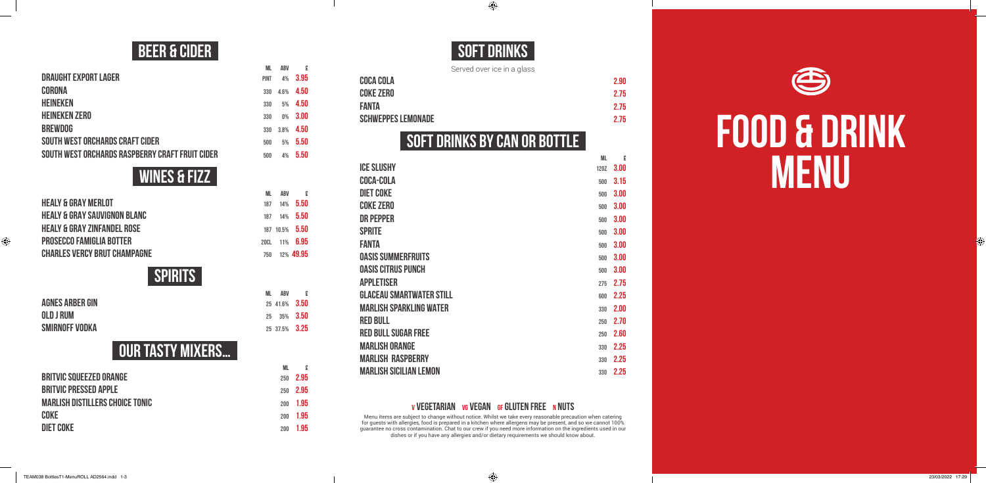# **FOOD & DRINK MENU**

### **BEER & CIDER**

**ML ABV £**

| <b>PINT</b> | 4%             | 3.95 |
|-------------|----------------|------|
| 330         | 4.6%           | 4.50 |
| 330         | 5%             | 4.50 |
| 330         | 0 <sub>%</sub> | 3.00 |
| 330         | 3.8%           | 4.50 |
| 500         | 5%             | 5.50 |
| 500         | 4%             | 5.50 |
|             |                |      |

### **WINES & FIZZ**

|                                         | ML   | ABV | $\mathbf{r}$   |
|-----------------------------------------|------|-----|----------------|
| <b>HEALY &amp; GRAY MERLOT</b>          | 187  | 14% | 5.50           |
| <b>HEALY &amp; GRAY SAUVIGNON BLANC</b> | 187  |     | 14% 5.50       |
| <b>HEALY &amp; GRAY ZINFANDEL ROSE</b>  |      |     | 187 10.5% 5.50 |
| <b>PROSECCO FAMIGLIA BOTTER</b>         | 20CI |     | 11% 6.95       |
| <b>CHARLES VERCY BRUT CHAMPAGNE</b>     | 750  |     | 12% 49.95      |
|                                         |      |     |                |

### **SPIRITS**

| <b>AGNES ARBER GIN</b> |  |
|------------------------|--|
| OLD J RUM              |  |
| SMIRNOFF VODKA         |  |

**ML ABV £ AGNES ARBER GIN** <sup>25</sup> 41.6% **3.50 OLD J RUM** <sup>25</sup> 35% **3.50 SMIRNOFF VODKA** <sup>25</sup> 37.5% **3.25**

## **Our tasty mixers…**

|                                        | ML  | £    |
|----------------------------------------|-----|------|
| <b>BRITVIC SQUEEZED ORANGE</b>         | 250 | 2.95 |
| <b>BRITVIC PRESSED APPLE</b>           | 250 | 2.95 |
| <b>MARLISH DISTILLERS CHOICE TONIC</b> | 200 | 1.95 |
| <b>COKE</b>                            | 200 | 1.95 |
| <b>DIET COKE</b>                       | 200 | 1.95 |

### **SOFT DRINKS**

 $\bigoplus$ 

Served over ice in a glass

| <b>COCA COLA</b>          | 2.90 |
|---------------------------|------|
| <b>COKE ZERO</b>          | 2.75 |
| <b>FANTA</b>              | 2.75 |
| <b>SCHWEPPES LEMONADE</b> | 2.75 |

### **SOFT DRINKS BY CAN OR BOTTLE**

|                                 | ML   | £    |
|---------------------------------|------|------|
| <b>ICE SLUSHY</b>               | 1207 | 3.00 |
| <b>COCA-COLA</b>                | 500  | 3.15 |
| <b>DIET COKE</b>                | 500  | 3.00 |
| <b>COKE ZERO</b>                | 500  | 3.00 |
| <b>DR PEPPER</b>                | 500  | 3.00 |
| <b>SPRITE</b>                   | 500  | 3.00 |
| <b>FANTA</b>                    | 500  | 3.00 |
| <b>OASIS SUMMERFRUITS</b>       | 500  | 3.00 |
| <b>OASIS CITRUS PUNCH</b>       | 500  | 3.00 |
| <b>APPLETISER</b>               | 275  | 2.75 |
| <b>GLACEAU SMARTWATER STILL</b> | 600  | 2.25 |
| <b>MARLISH SPARKLING WATER</b>  | 330  | 2.00 |
| <b>RED BULL</b>                 | 250  | 2.70 |
| <b>RED BULL SUGAR FREE</b>      | 250  | 2.60 |
| <b>MARLISH ORANGE</b>           | 330  | 2.25 |
| <b>MARLISH RASPBERRY</b>        | 330  | 2.25 |
| <b>MARLISH SICILIAN LEMON</b>   | 330  | 2.25 |

#### **V VEGETARIAN VG VEGAN GF GLUTEN FREE N NUTS**

Menu items are subject to change without notice. Whilst we take every reasonable precaution when catering for guests with allergies, food is prepared in a kitchen where allergens may be present, and so we cannot 100% guarantee no cross contamination. Chat to our crew if you need more information on the ingredients used in our dishes or if you have any allergies and/or dietary requirements we should know about.